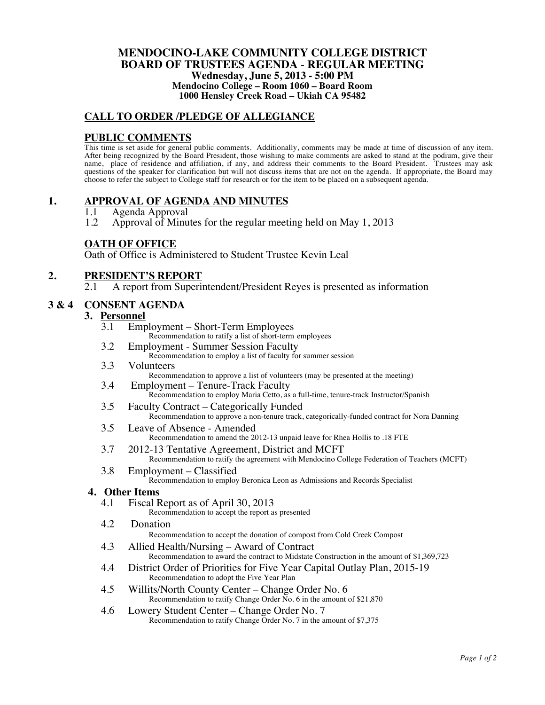#### **MENDOCINO-LAKE COMMUNITY COLLEGE DISTRICT BOARD OF TRUSTEES AGENDA** - **REGULAR MEETING Wednesday, June 5, 2013 - 5:00 PM Mendocino College – Room 1060 – Board Room 1000 Hensley Creek Road – Ukiah CA 95482**

# **CALL TO ORDER /PLEDGE OF ALLEGIANCE**

#### **PUBLIC COMMENTS**

This time is set aside for general public comments. Additionally, comments may be made at time of discussion of any item. After being recognized by the Board President, those wishing to make comments are asked to stand at the podium, give their name, place of residence and affiliation, if any, and address their comments to the Board President. Trustees may ask questions of the speaker for clarification but will not discuss items that are not on the agenda. If appropriate, the Board may choose to refer the subject to College staff for research or for the item to be placed on a subsequent agenda.

### **1. APPROVAL OF AGENDA AND MINUTES**

- 1.1 Agenda Approval<br>1.2 Approval of Minu
- 1.2 Approval of Minutes for the regular meeting held on May 1, 2013

#### **OATH OF OFFICE**

Oath of Office is Administered to Student Trustee Kevin Leal

# **2. PRESIDENT'S REPORT**

2.1 A report from Superintendent/President Reyes is presented as information

#### **3 & 4 CONSENT AGENDA**

#### **3. Personnel**

- 3.1 Employment Short-Term Employees
	- Recommendation to ratify a list of short-term employees
- 3.2 Employment Summer Session Faculty
	- Recommendation to employ a list of faculty for summer session
- 3.3 Volunteers Recommendation to approve a list of volunteers (may be presented at the meeting)
- 3.4 Employment Tenure-Track Faculty Recommendation to employ Maria Cetto, as a full-time, tenure-track Instructor/Spanish
- 3.5 Faculty Contract Categorically Funded Recommendation to approve a non-tenure track, categorically-funded contract for Nora Danning
- 3.5 Leave of Absence Amended Recommendation to amend the 2012-13 unpaid leave for Rhea Hollis to .18 FTE
- 3.7 2012-13 Tentative Agreement, District and MCFT Recommendation to ratify the agreement with Mendocino College Federation of Teachers (MCFT)
- 3.8 Employment Classified Recommendation to employ Beronica Leon as Admissions and Records Specialist

#### **4. Other Items**

- 4.1 Fiscal Report as of April 30, 2013
	- Recommendation to accept the report as presented
- 4.2 Donation

Recommendation to accept the donation of compost from Cold Creek Compost

- 4.3 Allied Health/Nursing Award of Contract Recommendation to award the contract to Midstate Construction in the amount of \$1,369,723
- 4.4 District Order of Priorities for Five Year Capital Outlay Plan, 2015-19 Recommendation to adopt the Five Year Plan
- 4.5 Willits/North County Center Change Order No. 6 Recommendation to ratify Change Order No. 6 in the amount of \$21,870
- 4.6 Lowery Student Center Change Order No. 7 Recommendation to ratify Change Order No. 7 in the amount of \$7,375